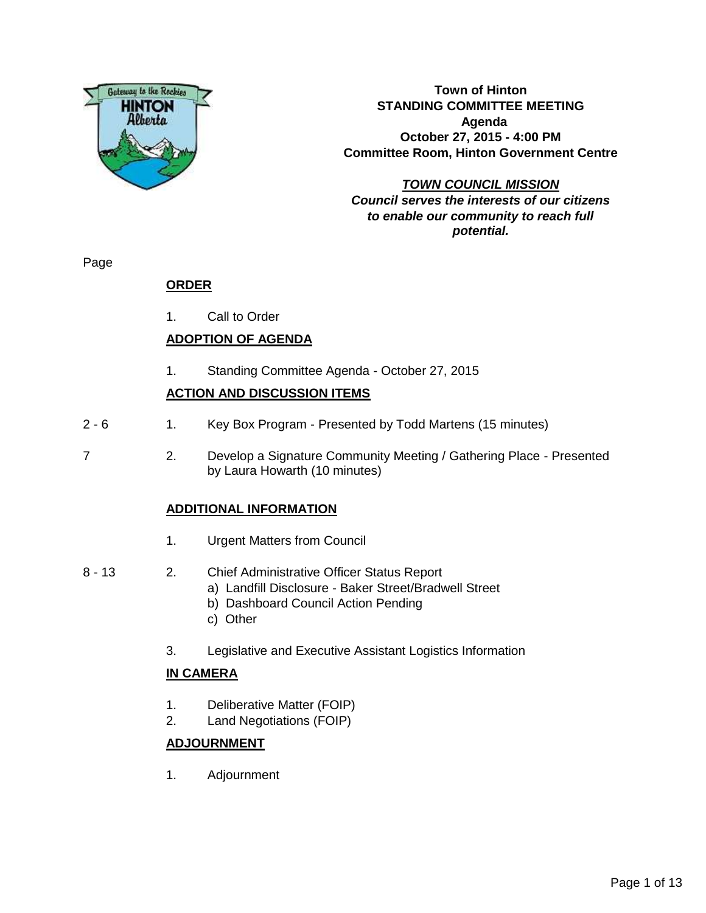

**Town of Hinton STANDING COMMITTEE MEETING Agenda October 27, 2015 - 4:00 PM Committee Room, Hinton Government Centre**

**TOWN COUNCIL MISSION Council serves the interests of our citizens to enable our community to reach full potential.**

Page

### **ORDER**

1. Call to Order

### **ADOPTION OF AGENDA**

1. Standing Committee Agenda - October 27, 2015

### **ACTION AND DISCUSSION ITEMS**

- 2 6 1. Key Box Program Presented by Todd Martens (15 minutes)
- 7 2. Develop a Signature Community Meeting / Gathering Place Presented by Laura Howarth (10 minutes)

### **ADDITIONAL INFORMATION**

- 1. Urgent Matters from Council
- 8 13 2. Chief Administrative Officer Status Report
	- a) Landfill Disclosure Baker Street/Bradwell Street
	- b) Dashboard Council Action Pending
	- c) Other
	- 3. Legislative and Executive Assistant Logistics Information

### **IN CAMERA**

- 1. Deliberative Matter (FOIP)
- 2. Land Negotiations (FOIP)

### **ADJOURNMENT**

1. Adjournment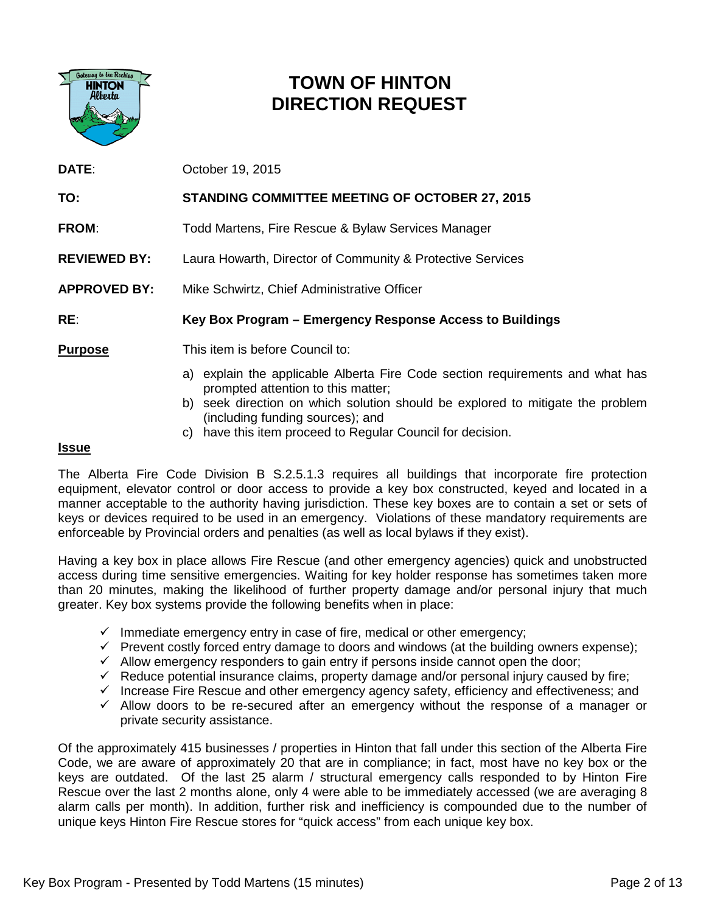

### **TOWN OF HINTON DIRECTION REQUEST**

| DATE:               | October 19, 2015                                                                                                    |  |  |  |  |
|---------------------|---------------------------------------------------------------------------------------------------------------------|--|--|--|--|
| TO:                 | <b>STANDING COMMITTEE MEETING OF OCTOBER 27, 2015</b>                                                               |  |  |  |  |
| <b>FROM:</b>        | Todd Martens, Fire Rescue & Bylaw Services Manager                                                                  |  |  |  |  |
| <b>REVIEWED BY:</b> | Laura Howarth, Director of Community & Protective Services                                                          |  |  |  |  |
| <b>APPROVED BY:</b> | Mike Schwirtz, Chief Administrative Officer                                                                         |  |  |  |  |
| RE:                 | Key Box Program – Emergency Response Access to Buildings                                                            |  |  |  |  |
| <b>Purpose</b>      | This item is before Council to:                                                                                     |  |  |  |  |
|                     | a) explain the applicable Alberta Fire Code section requirements and what has<br>prompted attention to this matter; |  |  |  |  |

- b) seek direction on which solution should be explored to mitigate the problem (including funding sources); and
- c) have this item proceed to Regular Council for decision.

#### **Issue**

The Alberta Fire Code Division B S.2.5.1.3 requires all buildings that incorporate fire protection equipment, elevator control or door access to provide a key box constructed, keyed and located in a manner acceptable to the authority having jurisdiction. These key boxes are to contain a set or sets of keys or devices required to be used in an emergency. Violations of these mandatory requirements are enforceable by Provincial orders and penalties (as well as local bylaws if they exist).

Having a key box in place allows Fire Rescue (and other emergency agencies) quick and unobstructed access during time sensitive emergencies. Waiting for key holder response has sometimes taken more than 20 minutes, making the likelihood of further property damage and/or personal injury that much greater. Key box systems provide the following benefits when in place:

- $\checkmark$  Immediate emergency entry in case of fire, medical or other emergency;
- $\checkmark$  Prevent costly forced entry damage to doors and windows (at the building owners expense);
- $\checkmark$  Allow emergency responders to gain entry if persons inside cannot open the door;
- $\checkmark$  Reduce potential insurance claims, property damage and/or personal injury caused by fire;
- $\checkmark$  Increase Fire Rescue and other emergency agency safety, efficiency and effectiveness; and
- $\checkmark$  Allow doors to be re-secured after an emergency without the response of a manager or private security assistance.

Of the approximately 415 businesses / properties in Hinton that fall under this section of the Alberta Fire Code, we are aware of approximately 20 that are in compliance; in fact, most have no key box or the keys are outdated. Of the last 25 alarm / structural emergency calls responded to by Hinton Fire Rescue over the last 2 months alone, only 4 were able to be immediately accessed (we are averaging 8 alarm calls per month). In addition, further risk and inefficiency is compounded due to the number of unique keys Hinton Fire Rescue stores for "quick access" from each unique key box.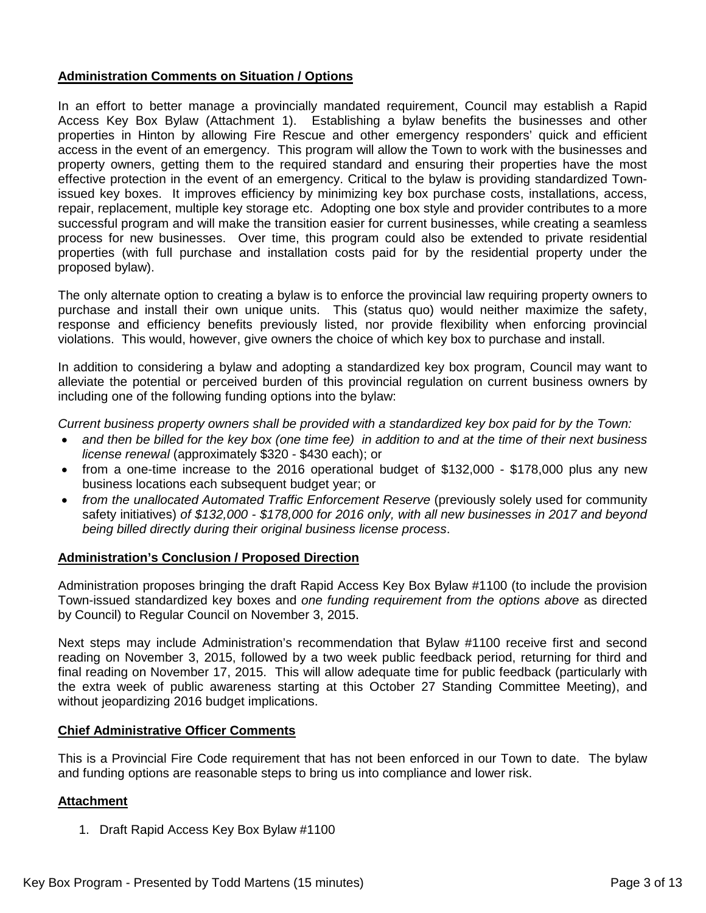### **Administration Comments on Situation / Options**

In an effort to better manage a provincially mandated requirement, Council may establish a Rapid Access Key Box Bylaw (Attachment 1). Establishing a bylaw benefits the businesses and other properties in Hinton by allowing Fire Rescue and other emergency responders' quick and efficient access in the event of an emergency. This program will allow the Town to work with the businesses and property owners, getting them to the required standard and ensuring their properties have the most effective protection in the event of an emergency. Critical to the bylaw is providing standardized Townissued key boxes. It improves efficiency by minimizing key box purchase costs, installations, access, repair, replacement, multiple key storage etc. Adopting one box style and provider contributes to a more successful program and will make the transition easier for current businesses, while creating a seamless process for new businesses. Over time, this program could also be extended to private residential properties (with full purchase and installation costs paid for by the residential property under the proposed bylaw).

The only alternate option to creating a bylaw is to enforce the provincial law requiring property owners to purchase and install their own unique units. This (status quo) would neither maximize the safety, response and efficiency benefits previously listed, nor provide flexibility when enforcing provincial violations. This would, however, give owners the choice of which key box to purchase and install.

In addition to considering a bylaw and adopting a standardized key box program, Council may want to alleviate the potential or perceived burden of this provincial regulation on current business owners by including one of the following funding options into the bylaw:

*Current business property owners shall be provided with a standardized key box paid for by the Town:*

- *and then be billed for the key box (one time fee) in addition to and at the time of their next business license renewal* (approximately \$320 - \$430 each); or
- from a one-time increase to the 2016 operational budget of \$132,000 \$178,000 plus any new business locations each subsequent budget year; or
- from the unallocated Automated Traffic Enforcement Reserve (previously solely used for community safety initiatives) *of \$132,000 - \$178,000 for 2016 only, with all new businesses in 2017 and beyond being billed directly during their original business license process*.

#### **Administration's Conclusion / Proposed Direction**

Administration proposes bringing the draft Rapid Access Key Box Bylaw #1100 (to include the provision Town-issued standardized key boxes and *one funding requirement from the options above* as directed by Council) to Regular Council on November 3, 2015.

Next steps may include Administration's recommendation that Bylaw #1100 receive first and second reading on November 3, 2015, followed by a two week public feedback period, returning for third and final reading on November 17, 2015. This will allow adequate time for public feedback (particularly with the extra week of public awareness starting at this October 27 Standing Committee Meeting), and without jeopardizing 2016 budget implications.

#### **Chief Administrative Officer Comments**

This is a Provincial Fire Code requirement that has not been enforced in our Town to date. The bylaw and funding options are reasonable steps to bring us into compliance and lower risk.

### **Attachment**

1. Draft Rapid Access Key Box Bylaw #1100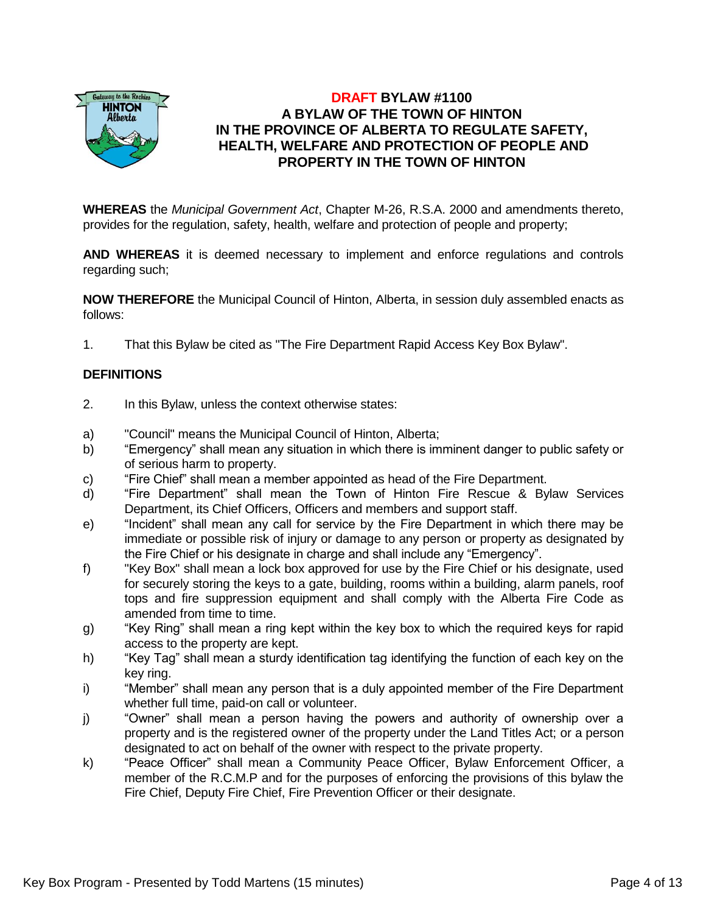

### **DRAFT BYLAW #1100 A BYLAW OF THE TOWN OF HINTON IN THE PROVINCE OF ALBERTA TO REGULATE SAFETY, HEALTH, WELFARE AND PROTECTION OF PEOPLE AND PROPERTY IN THE TOWN OF HINTON**

**WHEREAS** the *Municipal Government Act*, Chapter M-26, R.S.A. 2000 and amendments thereto, provides for the regulation, safety, health, welfare and protection of people and property;

**AND WHEREAS** it is deemed necessary to implement and enforce regulations and controls regarding such;

**NOW THEREFORE** the Municipal Council of Hinton, Alberta, in session duly assembled enacts as follows:

1. That this Bylaw be cited as "The Fire Department Rapid Access Key Box Bylaw".

### **DEFINITIONS**

- 2. In this Bylaw, unless the context otherwise states:
- a) "Council" means the Municipal Council of Hinton, Alberta;
- b) "Emergency" shall mean any situation in which there is imminent danger to public safety or of serious harm to property.
- c) "Fire Chief" shall mean a member appointed as head of the Fire Department.
- d) "Fire Department" shall mean the Town of Hinton Fire Rescue & Bylaw Services Department, its Chief Officers, Officers and members and support staff.
- e) "Incident" shall mean any call for service by the Fire Department in which there may be immediate or possible risk of injury or damage to any person or property as designated by the Fire Chief or his designate in charge and shall include any "Emergency".
- f) "Key Box" shall mean a lock box approved for use by the Fire Chief or his designate, used for securely storing the keys to a gate, building, rooms within a building, alarm panels, roof tops and fire suppression equipment and shall comply with the Alberta Fire Code as amended from time to time.
- g) "Key Ring" shall mean a ring kept within the key box to which the required keys for rapid access to the property are kept.
- h) "Key Tag" shall mean a sturdy identification tag identifying the function of each key on the key ring.
- i) "Member" shall mean any person that is a duly appointed member of the Fire Department whether full time, paid-on call or volunteer.
- j) "Owner" shall mean a person having the powers and authority of ownership over a property and is the registered owner of the property under the Land Titles Act; or a person designated to act on behalf of the owner with respect to the private property.
- k) "Peace Officer" shall mean a Community Peace Officer, Bylaw Enforcement Officer, a member of the R.C.M.P and for the purposes of enforcing the provisions of this bylaw the Fire Chief, Deputy Fire Chief, Fire Prevention Officer or their designate.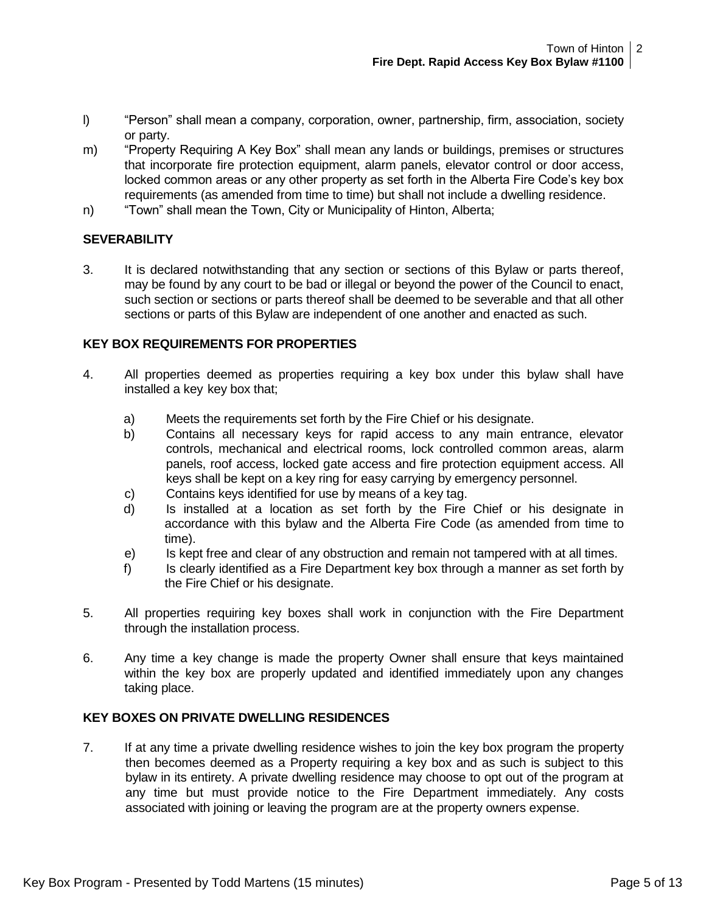- l) "Person" shall mean a company, corporation, owner, partnership, firm, association, society or party.
- m) "Property Requiring A Key Box" shall mean any lands or buildings, premises or structures that incorporate fire protection equipment, alarm panels, elevator control or door access, locked common areas or any other property as set forth in the Alberta Fire Code's key box requirements (as amended from time to time) but shall not include a dwelling residence.
- n) "Town" shall mean the Town, City or Municipality of Hinton, Alberta;

### **SEVERABILITY**

3. It is declared notwithstanding that any section or sections of this Bylaw or parts thereof, may be found by any court to be bad or illegal or beyond the power of the Council to enact, such section or sections or parts thereof shall be deemed to be severable and that all other sections or parts of this Bylaw are independent of one another and enacted as such.

### **KEY BOX REQUIREMENTS FOR PROPERTIES**

- 4. All properties deemed as properties requiring a key box under this bylaw shall have installed a key key box that;
	- a) Meets the requirements set forth by the Fire Chief or his designate.
	- b) Contains all necessary keys for rapid access to any main entrance, elevator controls, mechanical and electrical rooms, lock controlled common areas, alarm panels, roof access, locked gate access and fire protection equipment access. All keys shall be kept on a key ring for easy carrying by emergency personnel.
	- c) Contains keys identified for use by means of a key tag.
	- d) Is installed at a location as set forth by the Fire Chief or his designate in accordance with this bylaw and the Alberta Fire Code (as amended from time to time).
	- e) Is kept free and clear of any obstruction and remain not tampered with at all times.
	- f) Is clearly identified as a Fire Department key box through a manner as set forth by the Fire Chief or his designate.
- 5. All properties requiring key boxes shall work in conjunction with the Fire Department through the installation process.
- 6. Any time a key change is made the property Owner shall ensure that keys maintained within the key box are properly updated and identified immediately upon any changes taking place.

### **KEY BOXES ON PRIVATE DWELLING RESIDENCES**

7. If at any time a private dwelling residence wishes to join the key box program the property then becomes deemed as a Property requiring a key box and as such is subject to this bylaw in its entirety. A private dwelling residence may choose to opt out of the program at any time but must provide notice to the Fire Department immediately. Any costs associated with joining or leaving the program are at the property owners expense.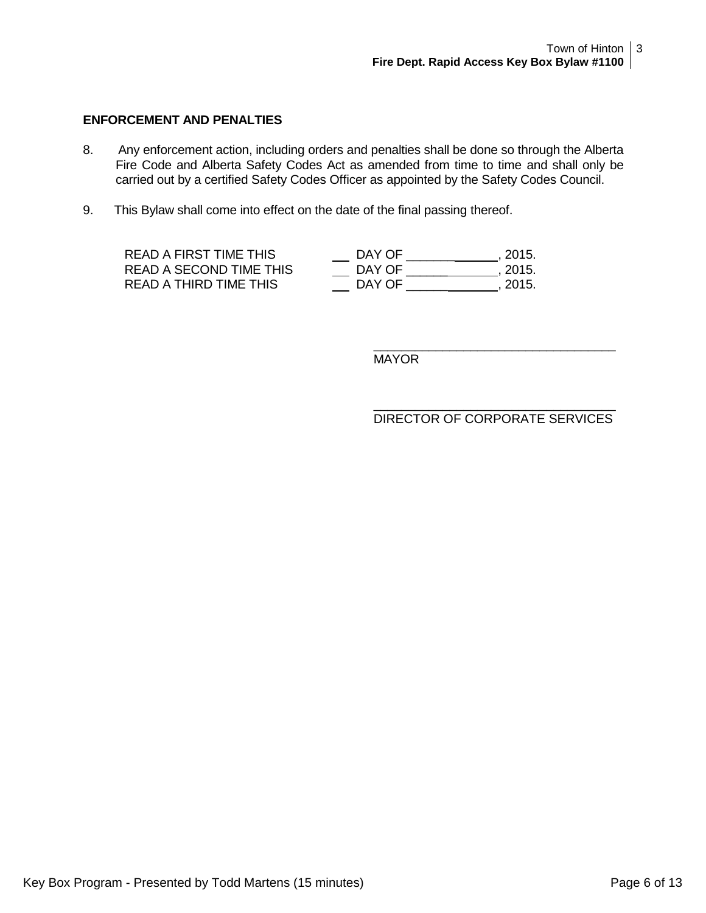### **ENFORCEMENT AND PENALTIES**

- 8. Any enforcement action, including orders and penalties shall be done so through the Alberta Fire Code and Alberta Safety Codes Act as amended from time to time and shall only be carried out by a certified Safety Codes Officer as appointed by the Safety Codes Council.
- 9. This Bylaw shall come into effect on the date of the final passing thereof.

| READ A FIRST TIME THIS  | DAY OF | . 2015. |
|-------------------------|--------|---------|
| READ A SECOND TIME THIS | DAY OF | . 2015. |
| READ A THIRD TIME THIS  | DAY OF | . 2015. |

MAYOR

\_\_\_\_\_\_\_\_\_\_\_\_\_\_\_\_\_\_\_\_\_\_\_\_\_\_\_\_\_\_\_\_\_\_\_ DIRECTOR OF CORPORATE SERVICES

\_\_\_\_\_\_\_\_\_\_\_\_\_\_\_\_\_\_\_\_\_\_\_\_\_\_\_\_\_\_\_\_\_\_\_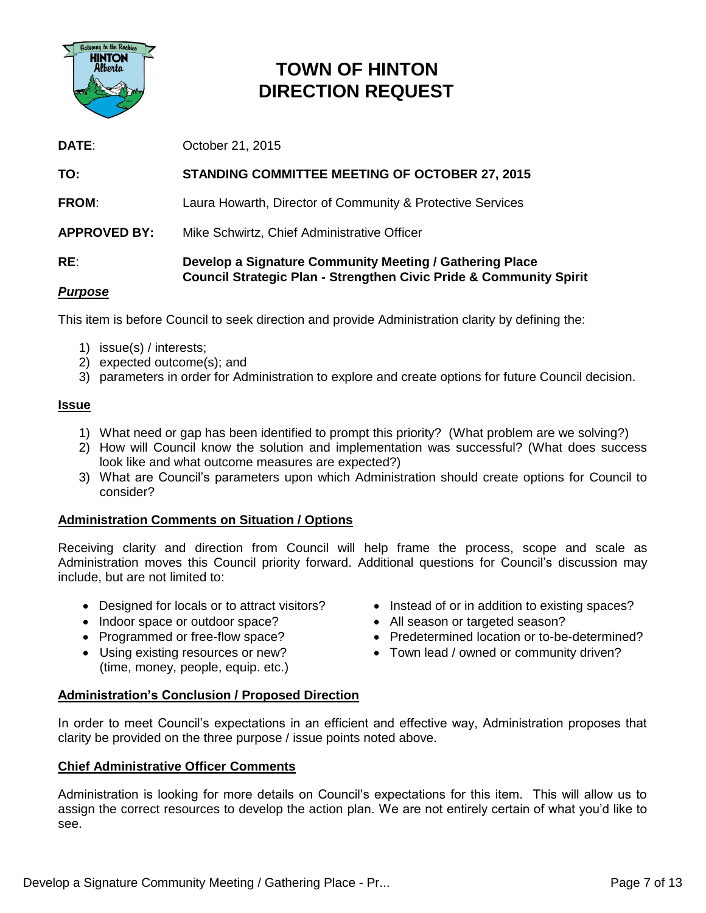

### **TOWN OF HINTON DIRECTION REQUEST**

| DATE:               | October 21, 2015                                                                                                                         |
|---------------------|------------------------------------------------------------------------------------------------------------------------------------------|
| TO:                 | <b>STANDING COMMITTEE MEETING OF OCTOBER 27, 2015</b>                                                                                    |
| <b>FROM:</b>        | Laura Howarth, Director of Community & Protective Services                                                                               |
| <b>APPROVED BY:</b> | Mike Schwirtz, Chief Administrative Officer                                                                                              |
| RE:<br>$P \sim P$   | Develop a Signature Community Meeting / Gathering Place<br><b>Council Strategic Plan - Strengthen Civic Pride &amp; Community Spirit</b> |

### *Purpose*

This item is before Council to seek direction and provide Administration clarity by defining the:

- 1) issue(s) / interests;
- 2) expected outcome(s); and
- 3) parameters in order for Administration to explore and create options for future Council decision.

### **Issue**

- 1) What need or gap has been identified to prompt this priority? (What problem are we solving?)
- 2) How will Council know the solution and implementation was successful? (What does success look like and what outcome measures are expected?)
- 3) What are Council's parameters upon which Administration should create options for Council to consider?

### **Administration Comments on Situation / Options**

Receiving clarity and direction from Council will help frame the process, scope and scale as Administration moves this Council priority forward. Additional questions for Council's discussion may include, but are not limited to:

- Designed for locals or to attract visitors?
- Indoor space or outdoor space?
- Programmed or free-flow space?
- Using existing resources or new? (time, money, people, equip. etc.)
- Instead of or in addition to existing spaces?
- All season or targeted season?
- Predetermined location or to-be-determined?
- Town lead / owned or community driven?

### **Administration's Conclusion / Proposed Direction**

In order to meet Council's expectations in an efficient and effective way, Administration proposes that clarity be provided on the three purpose / issue points noted above.

### **Chief Administrative Officer Comments**

Administration is looking for more details on Council's expectations for this item. This will allow us to assign the correct resources to develop the action plan. We are not entirely certain of what you'd like to see.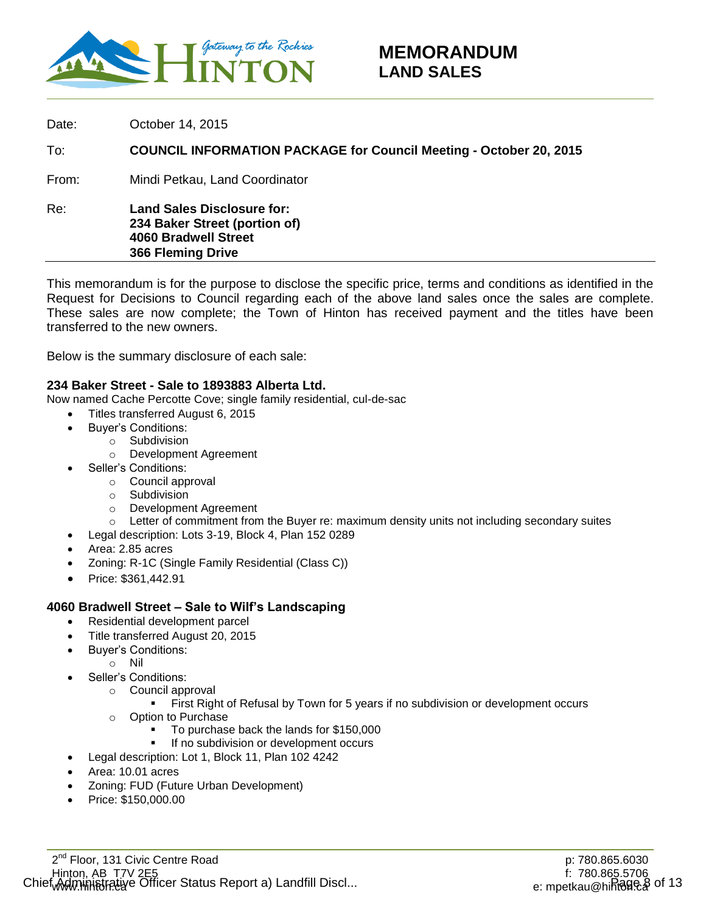

Date: **October 14, 2015** To: **COUNCIL INFORMATION PACKAGE for Council Meeting - October 20, 2015** From: Mindi Petkau, Land Coordinator Re: **Land Sales Disclosure for: 234 Baker Street (portion of) 4060 Bradwell Street 366 Fleming Drive**

This memorandum is for the purpose to disclose the specific price, terms and conditions as identified in the Request for Decisions to Council regarding each of the above land sales once the sales are complete. These sales are now complete; the Town of Hinton has received payment and the titles have been transferred to the new owners.

Below is the summary disclosure of each sale:

### **234 Baker Street - Sale to 1893883 Alberta Ltd.**

Now named Cache Percotte Cove; single family residential, cul-de-sac

- Titles transferred August 6, 2015
- Buyer's Conditions:
	- o Subdivision
		- o Development Agreement
- Seller's Conditions:
	- o Council approval
	- o Subdivision
	- o Development Agreement
	- $\circ$  Letter of commitment from the Buyer re: maximum density units not including secondary suites
- Legal description: Lots 3-19, Block 4, Plan 152 0289
- Area: 2.85 acres
- Zoning: R-1C (Single Family Residential (Class C))
- Price: \$361,442.91

#### **4060 Bradwell Street – Sale to Wilf's Landscaping**

- Residential development parcel
- Title transferred August 20, 2015
- Buyer's Conditions:
	- o Nil
- Seller's Conditions:
	- o Council approval
		- First Right of Refusal by Town for 5 years if no subdivision or development occurs
	- o Option to Purchase
		- To purchase back the lands for \$150,000
		- If no subdivision or development occurs
- Legal description: Lot 1, Block 11, Plan 102 4242
- Area: 10.01 acres
- Zoning: FUD (Future Urban Development)
- Price: \$150,000.00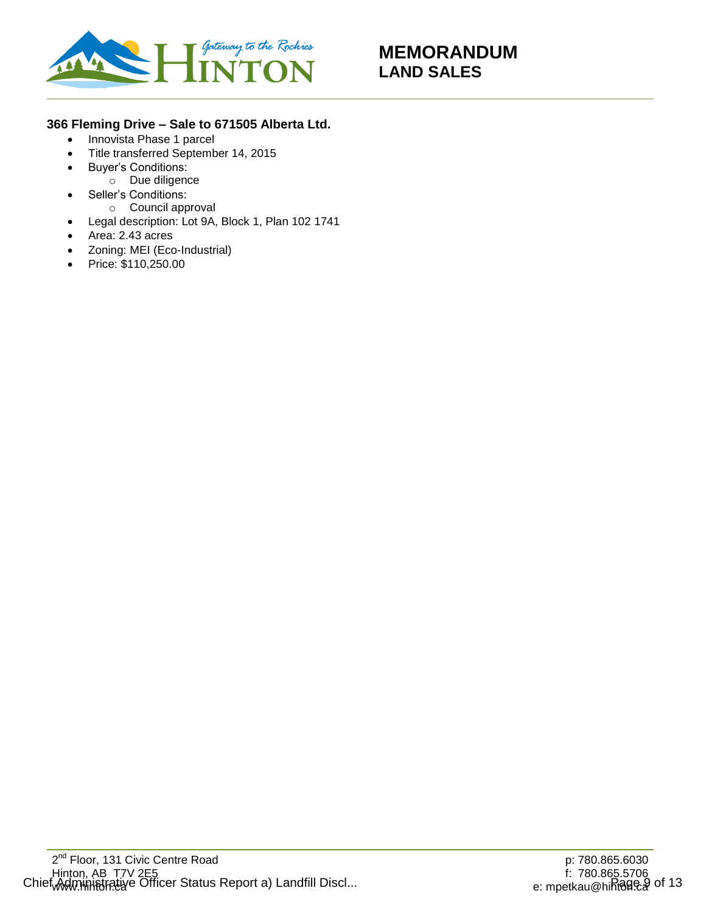

### **366 Fleming Drive – Sale to 671505 Alberta Ltd.**

- Innovista Phase 1 parcel
- Title transferred September 14, 2015
- Buyer's Conditions:
	- o Due diligence
- Seller's Conditions:
	- o Council approval
- Legal description: Lot 9A, Block 1, Plan 102 1741
- Area: 2.43 acres
- Zoning: MEI (Eco-Industrial)
- Price: \$110,250.00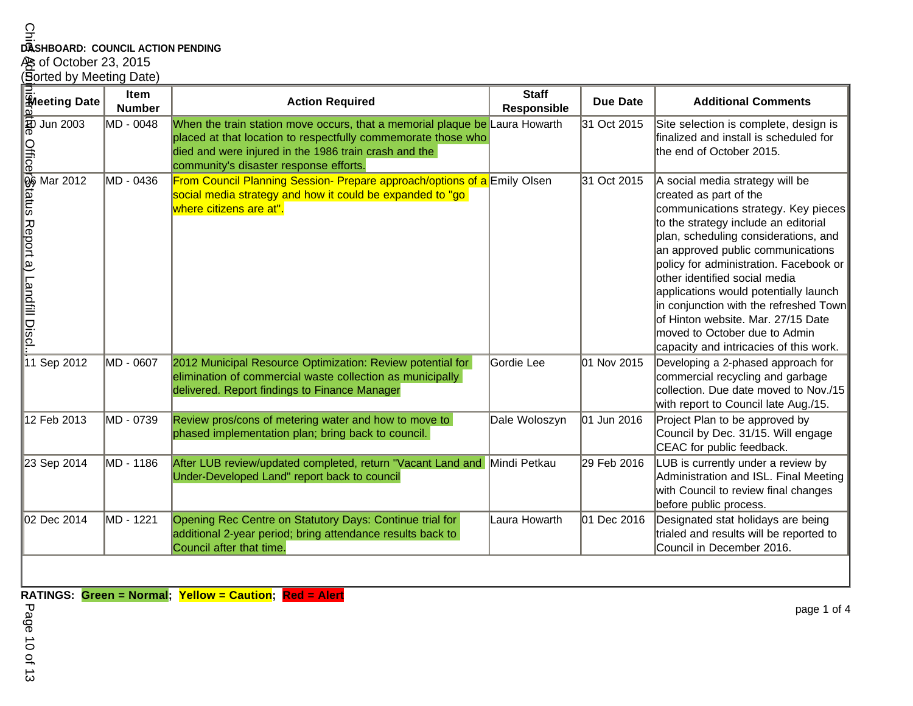# **DASHBOARD: COUNCIL ACTION PENDING<br>As of October 23, 2015<br><u>(S</u>orted by Meeting Date)**

|                                                                                                                                   | <b>Item</b><br><b>Number</b> | <b>Action Required</b>                                                                                                                                                                                                                          | <b>Staff</b><br>Responsible | <b>Due Date</b> | <b>Additional Comments</b>                                                                                                                                                                                                                                                                                                                                                                                                                                                                           |
|-----------------------------------------------------------------------------------------------------------------------------------|------------------------------|-------------------------------------------------------------------------------------------------------------------------------------------------------------------------------------------------------------------------------------------------|-----------------------------|-----------------|------------------------------------------------------------------------------------------------------------------------------------------------------------------------------------------------------------------------------------------------------------------------------------------------------------------------------------------------------------------------------------------------------------------------------------------------------------------------------------------------------|
|                                                                                                                                   | MD - 0048                    | When the train station move occurs, that a memorial plaque be Laura Howarth<br>placed at that location to respectfully commemorate those who<br>died and were injured in the 1986 train crash and the<br>community's disaster response efforts. |                             | 31 Oct 2015     | Site selection is complete, design is<br>finalized and install is scheduled for<br>the end of October 2015.                                                                                                                                                                                                                                                                                                                                                                                          |
| की and Date<br>and Dun 2003<br><b>Official Dun 2003</b><br>Official Dun 2012<br>and Dun 2012<br>and Dun 2012<br>i.i.l.11 Sep 2012 | MD - 0436                    | From Council Planning Session- Prepare approach/options of a Emily Olsen<br>social media strategy and how it could be expanded to "go<br>where citizens are at".                                                                                |                             | 31 Oct 2015     | A social media strategy will be<br>created as part of the<br>communications strategy. Key pieces<br>to the strategy include an editorial<br>plan, scheduling considerations, and<br>an approved public communications<br>policy for administration. Facebook or<br>other identified social media<br>applications would potentially launch<br>in conjunction with the refreshed Town<br>of Hinton website. Mar. 27/15 Date<br>moved to October due to Admin<br>capacity and intricacies of this work. |
|                                                                                                                                   | MD - 0607                    | 2012 Municipal Resource Optimization: Review potential for<br>elimination of commercial waste collection as municipally<br>delivered. Report findings to Finance Manager                                                                        | Gordie Lee                  | 01 Nov 2015     | Developing a 2-phased approach for<br>commercial recycling and garbage<br>collection. Due date moved to Nov./15<br>with report to Council late Aug./15.                                                                                                                                                                                                                                                                                                                                              |
| 12 Feb 2013                                                                                                                       | MD - 0739                    | Review pros/cons of metering water and how to move to<br>phased implementation plan; bring back to council.                                                                                                                                     | Dale Woloszyn               | 01 Jun 2016     | Project Plan to be approved by<br>Council by Dec. 31/15. Will engage<br>CEAC for public feedback.                                                                                                                                                                                                                                                                                                                                                                                                    |
| 23 Sep 2014                                                                                                                       | MD - 1186                    | After LUB review/updated completed, return "Vacant Land and Mindi Petkau<br>Under-Developed Land" report back to council                                                                                                                        |                             | 29 Feb 2016     | LUB is currently under a review by<br>Administration and ISL. Final Meeting<br>with Council to review final changes<br>before public process.                                                                                                                                                                                                                                                                                                                                                        |
| 02 Dec 2014                                                                                                                       | MD - 1221                    | Opening Rec Centre on Statutory Days: Continue trial for<br>additional 2-year period; bring attendance results back to<br>Council after that time.                                                                                              | Laura Howarth               | 01 Dec 2016     | Designated stat holidays are being<br>trialed and results will be reported to<br>Council in December 2016.                                                                                                                                                                                                                                                                                                                                                                                           |

Page 10 of 13ge 10 of 13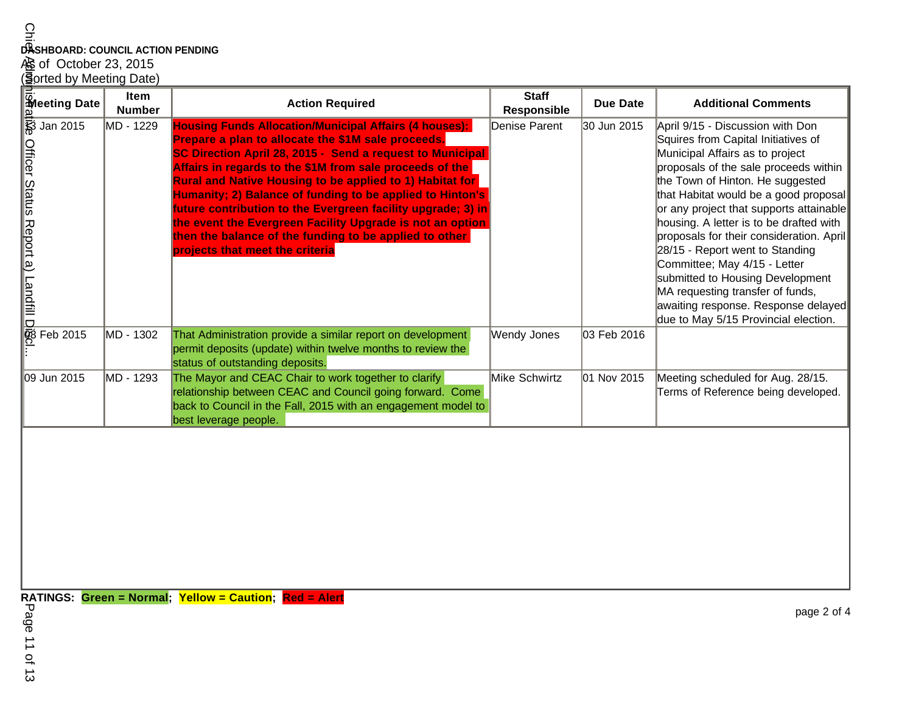## **DASHBOARD: COUNCIL ACTION PENDING**

# A§ of October 23, 2015<br>(**§**orted by Meeting Date)

| <u>ာ</u><br>DASHBOARD: COUNCIL ACTION PENDING                        |                       |                                                                                                                                                                                                                                                                                                                                                                                                                                                                                                                                                                                                        |                                    |                 |                                                                                                                                                                                                                                                                                                                                                                                                                                                                                                                                                                                              |  |
|----------------------------------------------------------------------|-----------------------|--------------------------------------------------------------------------------------------------------------------------------------------------------------------------------------------------------------------------------------------------------------------------------------------------------------------------------------------------------------------------------------------------------------------------------------------------------------------------------------------------------------------------------------------------------------------------------------------------------|------------------------------------|-----------------|----------------------------------------------------------------------------------------------------------------------------------------------------------------------------------------------------------------------------------------------------------------------------------------------------------------------------------------------------------------------------------------------------------------------------------------------------------------------------------------------------------------------------------------------------------------------------------------------|--|
|                                                                      |                       |                                                                                                                                                                                                                                                                                                                                                                                                                                                                                                                                                                                                        |                                    |                 |                                                                                                                                                                                                                                                                                                                                                                                                                                                                                                                                                                                              |  |
| 心 of October 23, 2015                                                |                       |                                                                                                                                                                                                                                                                                                                                                                                                                                                                                                                                                                                                        |                                    |                 |                                                                                                                                                                                                                                                                                                                                                                                                                                                                                                                                                                                              |  |
| ( <b>S</b> orted by Meeting Date)                                    |                       |                                                                                                                                                                                                                                                                                                                                                                                                                                                                                                                                                                                                        |                                    |                 |                                                                                                                                                                                                                                                                                                                                                                                                                                                                                                                                                                                              |  |
| <b>Meeting Date</b>                                                  | Item<br><b>Number</b> | <b>Action Required</b>                                                                                                                                                                                                                                                                                                                                                                                                                                                                                                                                                                                 | <b>Staff</b><br><b>Responsible</b> | <b>Due Date</b> | <b>Additional Comments</b>                                                                                                                                                                                                                                                                                                                                                                                                                                                                                                                                                                   |  |
| हुः Jan 2015<br>अप्रवेश Sharks Hebort a) [ Tandill Digit<br>Feb 2015 | MD - 1229             | <b>Housing Funds Allocation/Municipal Affairs (4 houses):</b><br>Prepare a plan to allocate the \$1M sale proceeds.<br>SC Direction April 28, 2015 - Send a request to Municipal<br>Affairs in regards to the \$1M from sale proceeds of the<br><b>Rural and Native Housing to be applied to 1) Habitat for</b><br>Humanity; 2) Balance of funding to be applied to Hinton's<br>future contribution to the Evergreen facility upgrade; 3) in<br>the event the Evergreen Facility Upgrade is not an option<br>then the balance of the funding to be applied to other<br>projects that meet the criteria | Denise Parent                      | 30 Jun 2015     | April 9/15 - Discussion with Don<br>Squires from Capital Initiatives of<br>Municipal Affairs as to project<br>proposals of the sale proceeds within<br>the Town of Hinton. He suggested<br>that Habitat would be a good proposal<br>or any project that supports attainable<br>housing. A letter is to be drafted with<br>proposals for their consideration. April<br>28/15 - Report went to Standing<br>Committee; May 4/15 - Letter<br>submitted to Housing Development<br>MA requesting transfer of funds,<br>awaiting response. Response delayed<br>due to May 5/15 Provincial election. |  |
|                                                                      | MD - 1302             | That Administration provide a similar report on development<br>permit deposits (update) within twelve months to review the<br>status of outstanding deposits.                                                                                                                                                                                                                                                                                                                                                                                                                                          | Wendy Jones                        | 03 Feb 2016     |                                                                                                                                                                                                                                                                                                                                                                                                                                                                                                                                                                                              |  |
| 09 Jun 2015                                                          | MD - 1293             | The Mayor and CEAC Chair to work together to clarify<br>relationship between CEAC and Council going forward. Come<br>back to Council in the Fall, 2015 with an engagement model to<br>best leverage people.                                                                                                                                                                                                                                                                                                                                                                                            | Mike Schwirtz                      | 01 Nov 2015     | Meeting scheduled for Aug. 28/15.<br>Terms of Reference being developed.                                                                                                                                                                                                                                                                                                                                                                                                                                                                                                                     |  |
|                                                                      |                       |                                                                                                                                                                                                                                                                                                                                                                                                                                                                                                                                                                                                        |                                    |                 |                                                                                                                                                                                                                                                                                                                                                                                                                                                                                                                                                                                              |  |
| Page<br>$\overrightarrow{=}$<br><b>of 13</b>                         |                       | RATINGS: Green = Normal; Yellow = Caution; Red = Alert                                                                                                                                                                                                                                                                                                                                                                                                                                                                                                                                                 |                                    |                 | page 2 of 4                                                                                                                                                                                                                                                                                                                                                                                                                                                                                                                                                                                  |  |
|                                                                      |                       |                                                                                                                                                                                                                                                                                                                                                                                                                                                                                                                                                                                                        |                                    |                 |                                                                                                                                                                                                                                                                                                                                                                                                                                                                                                                                                                                              |  |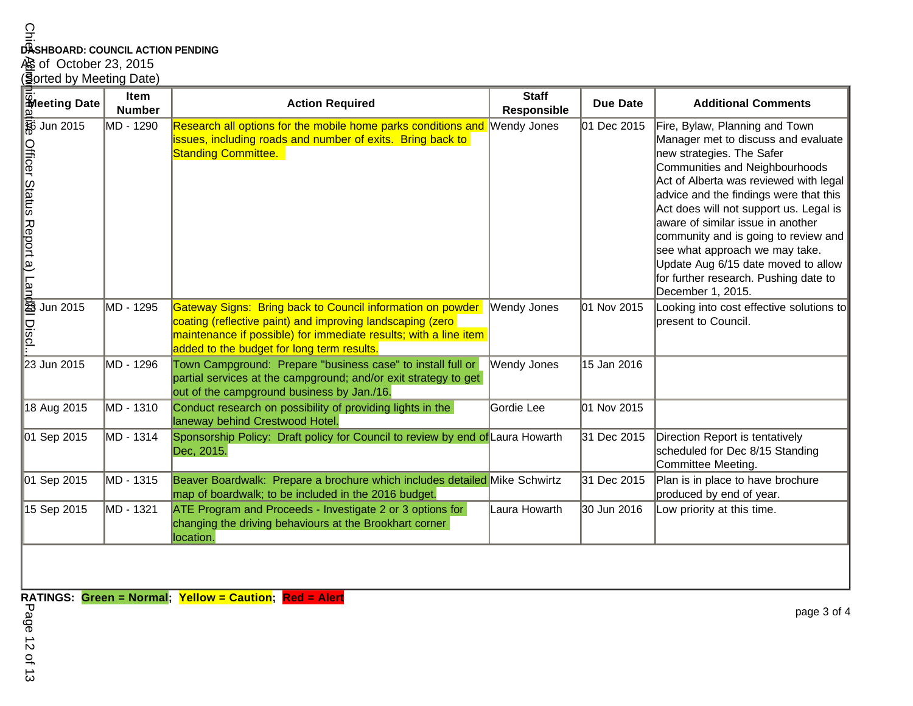### **DASHBOARD: COUNCIL ACTION PENDING**

# A§ of October 23, 2015<br>(**§**orted by Meeting Date)

|                                                                                 | Item<br><b>Number</b> | <b>Action Required</b>                                                                                                                                                                                                                     | <b>Staff</b><br><b>Responsible</b> | <b>Due Date</b> | <b>Additional Comments</b>                                                                                                                                                                                                                                                                                                                                                                                                                                                             |
|---------------------------------------------------------------------------------|-----------------------|--------------------------------------------------------------------------------------------------------------------------------------------------------------------------------------------------------------------------------------------|------------------------------------|-----------------|----------------------------------------------------------------------------------------------------------------------------------------------------------------------------------------------------------------------------------------------------------------------------------------------------------------------------------------------------------------------------------------------------------------------------------------------------------------------------------------|
| <b>The String Date</b><br>at Jun 2015<br>Officer Status Report a) Lanb@l Discl. | MD - 1290             | Research all options for the mobile home parks conditions and Wendy Jones<br>issues, including roads and number of exits. Bring back to<br><b>Standing Committee.</b>                                                                      |                                    | 01 Dec 2015     | Fire, Bylaw, Planning and Town<br>Manager met to discuss and evaluate<br>new strategies. The Safer<br>Communities and Neighbourhoods<br>Act of Alberta was reviewed with legal<br>advice and the findings were that this<br>Act does will not support us. Legal is<br>aware of similar issue in another<br>community and is going to review and<br>see what approach we may take.<br>Update Aug 6/15 date moved to allow<br>for further research. Pushing date to<br>December 1, 2015. |
| Jun 2015                                                                        | MD - 1295             | Gateway Signs: Bring back to Council information on powder<br>coating (reflective paint) and improving landscaping (zero<br>maintenance if possible) for immediate results; with a line item<br>added to the budget for long term results. | Wendy Jones                        | 01 Nov 2015     | Looking into cost effective solutions to<br>present to Council.                                                                                                                                                                                                                                                                                                                                                                                                                        |
| 23 Jun 2015                                                                     | MD - 1296             | Town Campground: Prepare "business case" to install full or<br>partial services at the campground; and/or exit strategy to get<br>out of the campground business by Jan./16.                                                               | Wendy Jones                        | 15 Jan 2016     |                                                                                                                                                                                                                                                                                                                                                                                                                                                                                        |
| 18 Aug 2015                                                                     | MD - 1310             | Conduct research on possibility of providing lights in the<br>laneway behind Crestwood Hotel.                                                                                                                                              | Gordie Lee                         | 01 Nov 2015     |                                                                                                                                                                                                                                                                                                                                                                                                                                                                                        |
| 01 Sep 2015                                                                     | MD - 1314             | Sponsorship Policy: Draft policy for Council to review by end of Laura Howarth<br>Dec, 2015.                                                                                                                                               |                                    | 31 Dec 2015     | Direction Report is tentatively<br>scheduled for Dec 8/15 Standing<br>Committee Meeting.                                                                                                                                                                                                                                                                                                                                                                                               |
| 01 Sep 2015                                                                     | MD - 1315             | Beaver Boardwalk: Prepare a brochure which includes detailed Mike Schwirtz<br>map of boardwalk; to be included in the 2016 budget.                                                                                                         |                                    | 31 Dec 2015     | Plan is in place to have brochure<br>produced by end of year.                                                                                                                                                                                                                                                                                                                                                                                                                          |
| 15 Sep 2015                                                                     | MD - 1321             | ATE Program and Proceeds - Investigate 2 or 3 options for<br>changing the driving behaviours at the Brookhart corner<br>location.                                                                                                          | Laura Howarth                      | 30 Jun 2016     | Low priority at this time.                                                                                                                                                                                                                                                                                                                                                                                                                                                             |